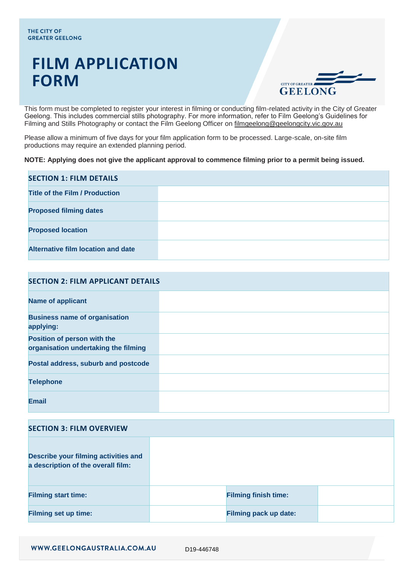# **FILM APPLICATION FORM**



This form must be completed to register your interest in filming or conducting film-related activity in the City of Greater Geelong. This includes commercial stills photography. For more information, refer to Film Geelong's Guidelines for Filming and Stills Photography or contact the Film Geelong Officer on [filmgeelong@geelongcity.vic.gov.au](mailto:filmgeelong@geelongcity.vic.gov.au)

Please allow a minimum of five days for your film application form to be processed. Large-scale, on-site film productions may require an extended planning period.

#### **NOTE: Applying does not give the applicant approval to commence filming prior to a permit being issued.**

| <b>SECTION 1: FILM DETAILS</b>     |  |
|------------------------------------|--|
| Title of the Film / Production     |  |
| <b>Proposed filming dates</b>      |  |
| <b>Proposed location</b>           |  |
| Alternative film location and date |  |

| <b>SECTION 2: FILM APPLICANT DETAILS</b>                            |  |
|---------------------------------------------------------------------|--|
| <b>Name of applicant</b>                                            |  |
| <b>Business name of organisation</b><br>applying:                   |  |
| Position of person with the<br>organisation undertaking the filming |  |
| Postal address, suburb and postcode                                 |  |
| <b>Telephone</b>                                                    |  |
| <b>Email</b>                                                        |  |

# **SECTION 3: FILM OVERVIEW**

| <b>Describe your filming activities and</b><br>a description of the overall film: |                              |  |
|-----------------------------------------------------------------------------------|------------------------------|--|
| <b>Filming start time:</b>                                                        | <b>Filming finish time:</b>  |  |
| <b>Filming set up time:</b>                                                       | <b>Filming pack up date:</b> |  |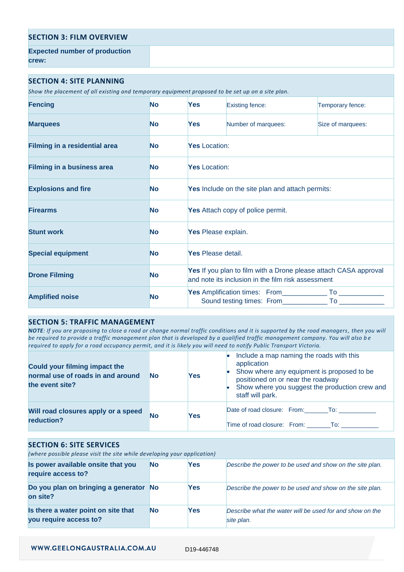| <b>SECTION 3: FILM OVERVIEW</b>      |  |
|--------------------------------------|--|
| <b>Expected number of production</b> |  |
| crew:                                |  |

#### **SECTION 4: SITE PLANNING**

*Show the placement of all existing and temporary equipment proposed to be set up on a site plan.*

| <b>Fencing</b>                       | <b>No</b> | Yes                  | <b>Existing fence:</b>                                                                                                 | Temporary fence:  |
|--------------------------------------|-----------|----------------------|------------------------------------------------------------------------------------------------------------------------|-------------------|
| <b>Marquees</b>                      | <b>No</b> | <b>Yes</b>           | Number of marquees:                                                                                                    | Size of marquees: |
| <b>Filming in a residential area</b> | <b>No</b> | <b>Yes</b> Location: |                                                                                                                        |                   |
| <b>Filming in a business area</b>    | <b>No</b> | <b>Yes</b> Location: |                                                                                                                        |                   |
| <b>Explosions and fire</b>           | <b>No</b> |                      | Yes Include on the site plan and attach permits:                                                                       |                   |
| <b>Firearms</b>                      | No        |                      | <b>Yes</b> Attach copy of police permit.                                                                               |                   |
| <b>Stunt work</b>                    | No        | Yes Please explain.  |                                                                                                                        |                   |
| <b>Special equipment</b>             | <b>No</b> | Yes Please detail.   |                                                                                                                        |                   |
| <b>Drone Filming</b>                 | <b>No</b> |                      | Yes If you plan to film with a Drone please attach CASA approval<br>and note its inclusion in the film risk assessment |                   |
| <b>Amplified noise</b>               | <b>No</b> |                      |                                                                                                                        |                   |

### **SECTION 5: TRAFFIC MANAGEMENT**

*NOTE: If you are proposing to close a road or change normal traffic conditions and it is supported by the road managers, then you will be required to provide a traffic management plan that is developed by a qualified traffic management company. You will also b e required to apply for a road occupancy permit, and it is likely you will need to notify Public Transport Victoria.*

| Could your filming impact the<br>normal use of roads in and around<br>the event site? | <b>No</b> | Yes | Include a map naming the roads with this<br>application<br>Show where any equipment is proposed to be<br>positioned on or near the roadway<br>Show where you suggest the production crew and<br>staff will park. |
|---------------------------------------------------------------------------------------|-----------|-----|------------------------------------------------------------------------------------------------------------------------------------------------------------------------------------------------------------------|
| Will road closures apply or a speed                                                   | <b>No</b> | Yes | Date of road closure: From: To:                                                                                                                                                                                  |
| reduction?                                                                            |           |     | Time of road closure: From: To:                                                                                                                                                                                  |

## **SECTION 6: SITE SERVICES**

*(where possible please visit the site while developing your application)*

| Is power available onsite that you<br>require access to?      | No. | <b>Yes</b> | Describe the power to be used and show on the site plan.               |
|---------------------------------------------------------------|-----|------------|------------------------------------------------------------------------|
| Do you plan on bringing a generator No<br>on site?            |     | Yes        | Describe the power to be used and show on the site plan.               |
| Is there a water point on site that<br>you require access to? | No. | Yes        | Describe what the water will be used for and show on the<br>site plan. |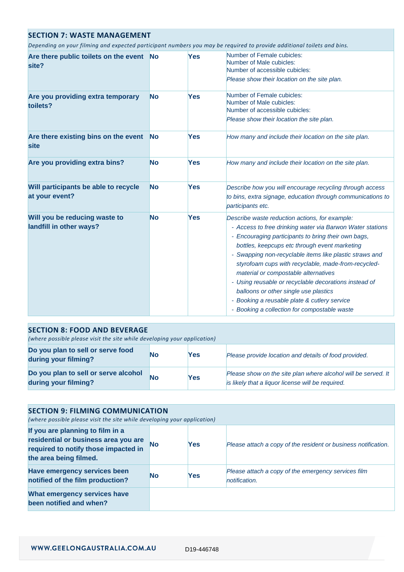# **SECTION 7: WASTE MANAGEMENT**

*Depending on your filming and expected participant numbers you may be required to provide additional toilets and bins.*

| Are there public toilets on the event<br>site?           | <b>No</b> | Yes        | Number of Female cubicles:<br>Number of Male cubicles:<br>Number of accessible cubicles:<br>Please show their location on the site plan.                                                                                                                                                                                                                                                                                                                                                                                                                                        |
|----------------------------------------------------------|-----------|------------|---------------------------------------------------------------------------------------------------------------------------------------------------------------------------------------------------------------------------------------------------------------------------------------------------------------------------------------------------------------------------------------------------------------------------------------------------------------------------------------------------------------------------------------------------------------------------------|
| Are you providing extra temporary<br>toilets?            | <b>No</b> | Yes        | Number of Female cubicles:<br>Number of Male cubicles:<br>Number of accessible cubicles:<br>Please show their location the site plan.                                                                                                                                                                                                                                                                                                                                                                                                                                           |
| Are there existing bins on the event<br>site             | <b>No</b> | Yes        | How many and include their location on the site plan.                                                                                                                                                                                                                                                                                                                                                                                                                                                                                                                           |
| Are you providing extra bins?                            | No        | Yes        | How many and include their location on the site plan.                                                                                                                                                                                                                                                                                                                                                                                                                                                                                                                           |
| Will participants be able to recycle<br>at your event?   | <b>No</b> | <b>Yes</b> | Describe how you will encourage recycling through access<br>to bins, extra signage, education through communications to<br>participants etc.                                                                                                                                                                                                                                                                                                                                                                                                                                    |
| Will you be reducing waste to<br>landfill in other ways? | <b>No</b> | Yes        | Describe waste reduction actions, for example:<br>- Access to free drinking water via Barwon Water stations<br>- Encouraging participants to bring their own bags,<br>bottles, keepcups etc through event marketing<br>- Swapping non-recyclable items like plastic straws and<br>styrofoam cups with recyclable, made-from-recycled-<br>material or compostable alternatives<br>- Using reusable or recyclable decorations instead of<br>balloons or other single use plastics<br>- Booking a reusable plate & cutlery service<br>- Booking a collection for compostable waste |

| <b>SECTION 8: FOOD AND BEVERAGE</b><br>(where possible please visit the site while developing your application) |           |     |                                                                                                                    |
|-----------------------------------------------------------------------------------------------------------------|-----------|-----|--------------------------------------------------------------------------------------------------------------------|
| Do you plan to sell or serve food<br>during your filming?                                                       | No        | Yes | Please provide location and details of food provided.                                                              |
| Do you plan to sell or serve alcohol<br>during your filming?                                                    | <b>No</b> | Yes | Please show on the site plan where alcohol will be served. It<br>is likely that a liquor license will be required. |

| <b>SECTION 9: FILMING COMMUNICATION</b><br>(where possible please visit the site while developing your application)                        |    |            |                                                                      |
|--------------------------------------------------------------------------------------------------------------------------------------------|----|------------|----------------------------------------------------------------------|
| If you are planning to film in a<br>residential or business area you are<br>required to notify those impacted in<br>the area being filmed. | No | <b>Yes</b> | Please attach a copy of the resident or business notification.       |
| <b>Have emergency services been</b><br>notified of the film production?                                                                    | No | <b>Yes</b> | Please attach a copy of the emergency services film<br>notification. |
| What emergency services have<br>been notified and when?                                                                                    |    |            |                                                                      |